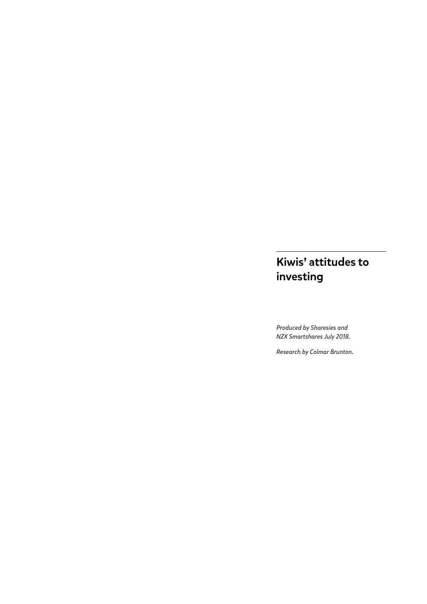# Kiwis' attitudes to investing

*Produced by Sharesies and NZX Smartshares July 2018.* 

*Research by Colmar Brunton.*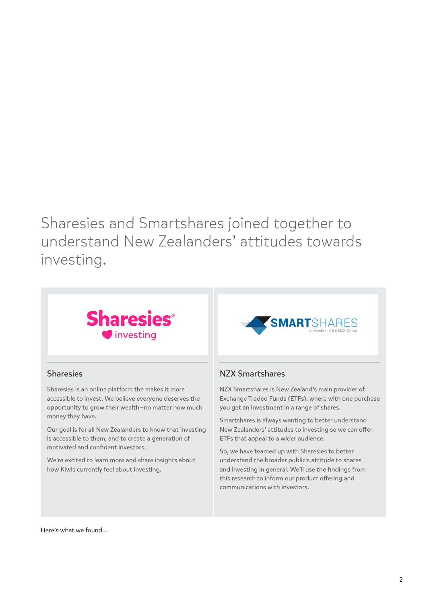Sharesies and Smartshares joined together to understand New Zealanders' attitudes towards investing.



## Sharesies

Sharesies is an online platform the makes it more accessible to invest. We believe everyone deserves the opportunity to grow their wealth—no matter how much money they have.

Our goal is for all New Zealanders to know that investing is accessible to them, and to create a generation of motivated and confident investors.

We're excited to learn more and share insights about how Kiwis currently feel about investing.



## NZX Smartshares

NZX Smartshares is New Zealand's main provider of Exchange Traded Funds (ETFs), where with one purchase you get an investment in a range of shares.

Smartshares is always wanting to better understand New Zealanders' attitudes to investing so we can offer ETFs that appeal to a wider audience.

So, we have teamed up with Sharesies to better understand the broader public's attitude to shares and investing in general. We'll use the findings from this research to inform our product offering and communications with investors.

Here's what we found…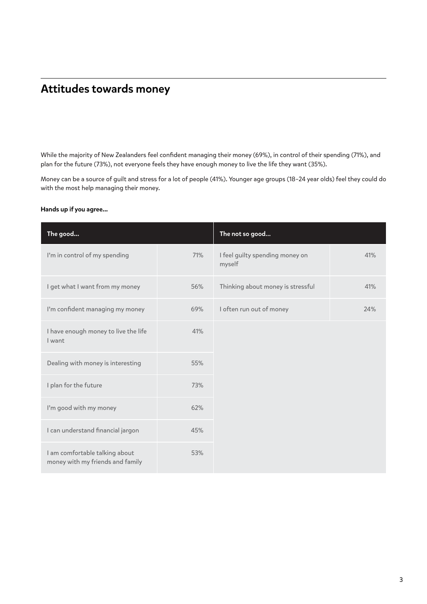# Attitudes towards money

While the majority of New Zealanders feel confident managing their money (69%), in control of their spending (71%), and plan for the future (73%), not everyone feels they have enough money to live the life they want (35%).

Money can be a source of guilt and stress for a lot of people (41%). Younger age groups (18–24 year olds) feel they could do with the most help managing their money.

#### Hands up if you agree...

| The good                                                           |     | The not so good                           |     |
|--------------------------------------------------------------------|-----|-------------------------------------------|-----|
| I'm in control of my spending                                      | 71% | I feel guilty spending money on<br>myself | 41% |
| I get what I want from my money                                    | 56% | Thinking about money is stressful         | 41% |
| I'm confident managing my money                                    | 69% | I often run out of money                  | 24% |
| I have enough money to live the life<br>I want                     | 41% |                                           |     |
| Dealing with money is interesting                                  | 55% |                                           |     |
| I plan for the future                                              | 73% |                                           |     |
| I'm good with my money                                             | 62% |                                           |     |
| I can understand financial jargon                                  | 45% |                                           |     |
| I am comfortable talking about<br>money with my friends and family | 53% |                                           |     |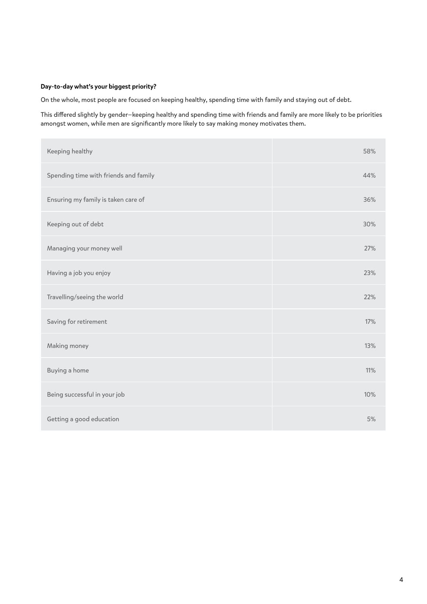#### Day-to-day what's your biggest priority?

On the whole, most people are focused on keeping healthy, spending time with family and staying out of debt.

This differed slightly by gender—keeping healthy and spending time with friends and family are more likely to be priorities amongst women, while men are significantly more likely to say making money motivates them.

| Keeping healthy                       | 58% |
|---------------------------------------|-----|
| Spending time with friends and family | 44% |
| Ensuring my family is taken care of   | 36% |
| Keeping out of debt                   | 30% |
| Managing your money well              | 27% |
| Having a job you enjoy                | 23% |
| Travelling/seeing the world           | 22% |
| Saving for retirement                 | 17% |
| Making money                          | 13% |
| Buying a home                         | 11% |
| Being successful in your job          | 10% |
| Getting a good education              | 5%  |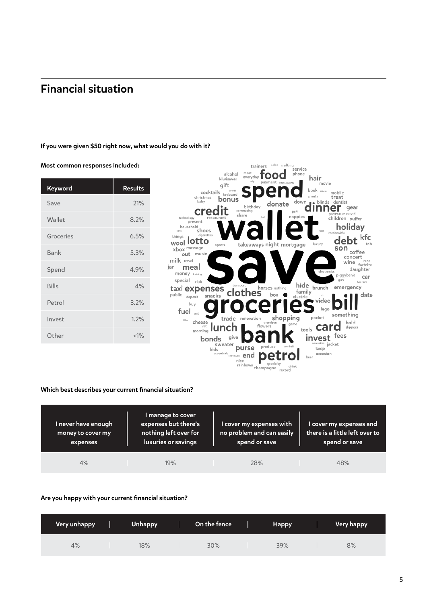# Financial situation

Most common responses included:

#### If you were given \$50 right now, what would you do with it?





#### Which best describes your current financial situation?

| I never have enough<br>money to cover my<br>expenses | I manage to cover<br>expenses but there's<br>nothing left over for<br>luxuries or savings | I cover my expenses with<br>no problem and can easily<br>spend or save | I cover my expenses and<br>there is a little left over to<br>spend or save |
|------------------------------------------------------|-------------------------------------------------------------------------------------------|------------------------------------------------------------------------|----------------------------------------------------------------------------|
| 4%                                                   | 19%                                                                                       | 28%                                                                    | 48%                                                                        |

#### Are you happy with your current financial situation?

| Very unhappy | <b>Unhappy</b> | On the fence | <b>Happy</b> | <b>Very happy</b> |
|--------------|----------------|--------------|--------------|-------------------|
| 4%           | 18%            | 30%          | 39%          | 8%                |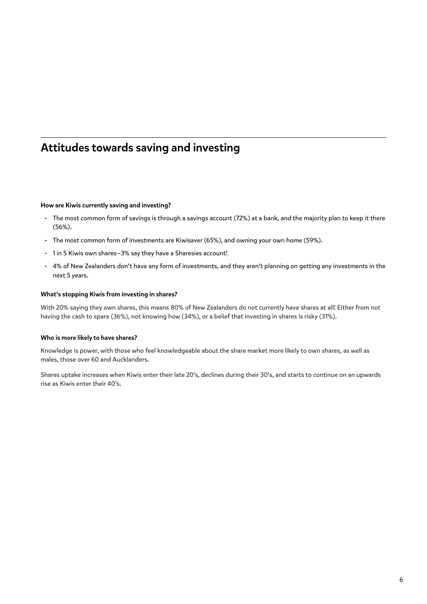# Attitudes towards saving and investing

#### How are Kiwis currently saving and investing?

- The most common form of savings is through a savings account (72%) at a bank, and the majority plan to keep it there (56%).
- The most common form of investments are Kiwisaver (65%), and owning your own home (59%).
- 1 in 5 Kiwis own shares—3% say they have a Sharesies account!
- 4% of New Zealanders don't have any form of investments, and they aren't planning on getting any investments in the next 5 years.

#### What's stopping Kiwis from investing in shares?

With 20% saying they own shares, this means 80% of New Zealanders do not currently have shares at all! Either from not having the cash to spare (36%), not knowing how (34%), or a belief that investing in shares is risky (31%).

#### Who is more likely to have shares?

Knowledge is power, with those who feel knowledgeable about the share market more likely to own shares, as well as males, those over 60 and Aucklanders.

Shares uptake increases when Kiwis enter their late 20's, declines during their 30's, and starts to continue on an upwards rise as Kiwis enter their 40's.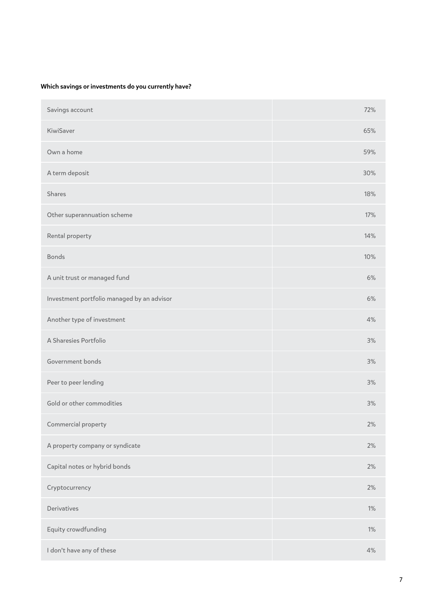## Which savings or investments do you currently have?

| Savings account                            | 72%   |
|--------------------------------------------|-------|
| KiwiSaver                                  | 65%   |
| Own a home                                 | 59%   |
| A term deposit                             | 30%   |
| Shares                                     | 18%   |
| Other superannuation scheme                | 17%   |
| Rental property                            | 14%   |
| <b>Bonds</b>                               | 10%   |
| A unit trust or managed fund               | 6%    |
| Investment portfolio managed by an advisor | 6%    |
| Another type of investment                 | 4%    |
| A Sharesies Portfolio                      | 3%    |
| Government bonds                           | 3%    |
| Peer to peer lending                       | 3%    |
| Gold or other commodities                  | 3%    |
| Commercial property                        | 2%    |
| A property company or syndicate            | 2%    |
| Capital notes or hybrid bonds              | 2%    |
| Cryptocurrency                             | 2%    |
| Derivatives                                | $1\%$ |
| Equity crowdfunding                        | $1\%$ |
| I don't have any of these                  | 4%    |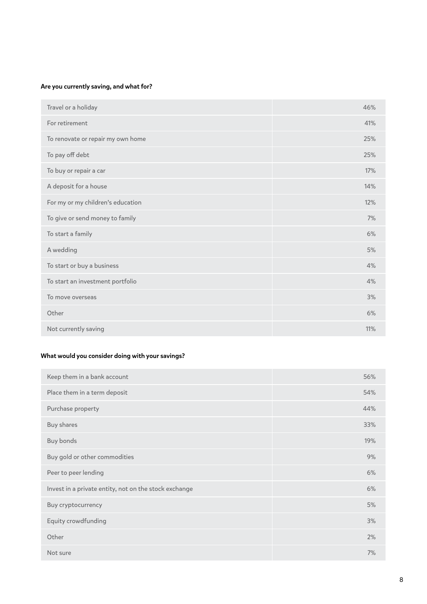## Are you currently saving, and what for?

| Travel or a holiday               | 46% |
|-----------------------------------|-----|
| For retirement                    | 41% |
| To renovate or repair my own home | 25% |
| To pay off debt                   | 25% |
| To buy or repair a car            | 17% |
| A deposit for a house             | 14% |
| For my or my children's education | 12% |
| To give or send money to family   | 7%  |
| To start a family                 | 6%  |
| A wedding                         | 5%  |
| To start or buy a business        | 4%  |
| To start an investment portfolio  | 4%  |
| To move overseas                  | 3%  |
| Other                             | 6%  |
| Not currently saving              | 11% |

## What would you consider doing with your savings?

| Keep them in a bank account                           | 56% |
|-------------------------------------------------------|-----|
| Place them in a term deposit                          | 54% |
| Purchase property                                     | 44% |
| <b>Buy shares</b>                                     | 33% |
| Buy bonds                                             | 19% |
| Buy gold or other commodities                         | 9%  |
| Peer to peer lending                                  | 6%  |
| Invest in a private entity, not on the stock exchange | 6%  |
| Buy cryptocurrency                                    | 5%  |
| Equity crowdfunding                                   | 3%  |
| Other                                                 | 2%  |
| Not sure                                              | 7%  |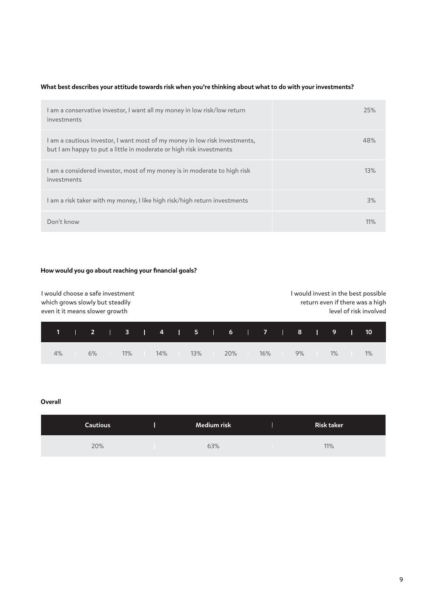### What best describes your attitude towards risk when you're thinking about what to do with your investments?

| l am a conservative investor, I want all my money in low risk/low return<br>investments                                                           | 25% |
|---------------------------------------------------------------------------------------------------------------------------------------------------|-----|
| I am a cautious investor, I want most of my money in low risk investments,<br>but I am happy to put a little in moderate or high risk investments | 48% |
| I am a considered investor, most of my money is in moderate to high risk<br>investments                                                           | 13% |
| l am a risk taker with my money, I like high risk/high return investments                                                                         | 3%  |
| Don't know                                                                                                                                        | 11% |

#### How would you go about reaching your financial goals?

| I would choose a safe investment<br>which grows slowly but steadily<br>even it it means slower growth |  |  |   |  |   |  |  |  | I would invest in the best possible<br>return even if there was a high<br>level of risk involved |  |
|-------------------------------------------------------------------------------------------------------|--|--|---|--|---|--|--|--|--------------------------------------------------------------------------------------------------|--|
|                                                                                                       |  |  | 4 |  | 6 |  |  |  |                                                                                                  |  |

|  |  |  |  |  | 1   2   3   4   5   6   7   8   9   10 |  |  |  |  |  |
|--|--|--|--|--|----------------------------------------|--|--|--|--|--|
|  |  |  |  |  | 4% 6% 11% 14% 13% 20% 16% 9% 11% 12%   |  |  |  |  |  |

#### **Overall**

| <b>Cautious</b> | Medium risk | <b>Risk taker</b> |
|-----------------|-------------|-------------------|
| 20%             | 63%         | 11%               |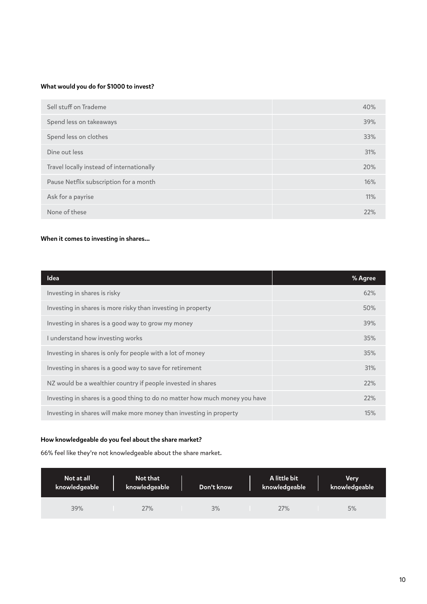### What would you do for \$1000 to invest?

| Sell stuff on Trademe                     | 40% |
|-------------------------------------------|-----|
| Spend less on takeaways                   | 39% |
| Spend less on clothes                     | 33% |
| Dine out less                             | 31% |
| Travel locally instead of internationally | 20% |
| Pause Netflix subscription for a month    | 16% |
| Ask for a payrise                         | 11% |
| None of these                             | 22% |

### When it comes to investing in shares...

| <b>Idea</b>                                                                 | % Agree |
|-----------------------------------------------------------------------------|---------|
| Investing in shares is risky                                                | 62%     |
| Investing in shares is more risky than investing in property                | 50%     |
| Investing in shares is a good way to grow my money                          | 39%     |
| I understand how investing works                                            | 35%     |
| Investing in shares is only for people with a lot of money                  | 35%     |
| Investing in shares is a good way to save for retirement                    | 31%     |
| NZ would be a wealthier country if people invested in shares                | 22%     |
| Investing in shares is a good thing to do no matter how much money you have | 22%     |
| Investing in shares will make more money than investing in property         | 15%     |

### How knowledgeable do you feel about the share market?

66% feel like they're not knowledgeable about the share market.

| Not at all    | Not that      | Don't know | A little bit  | <b>Very</b>   |
|---------------|---------------|------------|---------------|---------------|
| knowledgeable | knowledgeable |            | knowledgeable | knowledgeable |
| 39%           | 27%           | 3%         | 27%           | 5%            |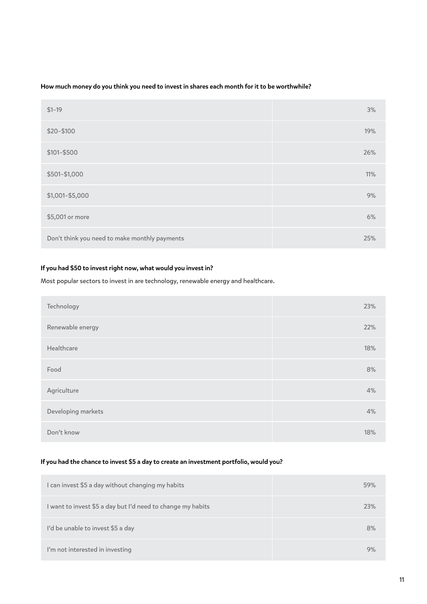### How much money do you think you need to invest in shares each month for it to be worthwhile?

| $$1-19$                                       | 3%  |
|-----------------------------------------------|-----|
| \$20-\$100                                    | 19% |
| \$101-\$500                                   | 26% |
| \$501-\$1,000                                 | 11% |
| \$1,001-\$5,000                               | 9%  |
| \$5,001 or more                               | 6%  |
| Don't think you need to make monthly payments | 25% |

### If you had \$50 to invest right now, what would you invest in?

Most popular sectors to invest in are technology, renewable energy and healthcare.

| Technology         | 23% |
|--------------------|-----|
| Renewable energy   | 22% |
| Healthcare         | 18% |
| Food               | 8%  |
| Agriculture        | 4%  |
| Developing markets | 4%  |
| Don't know         | 18% |

#### If you had the chance to invest \$5 a day to create an investment portfolio, would you?

| I can invest \$5 a day without changing my habits           | 59% |
|-------------------------------------------------------------|-----|
| I want to invest \$5 a day but I'd need to change my habits | 23% |
| I'd be unable to invest \$5 a day                           | 8%  |
| I'm not interested in investing                             | 9%  |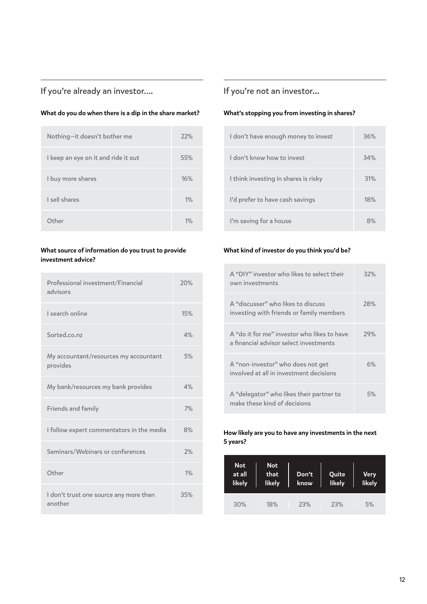# If you're already an investor….

### What do you do when there is a dip in the share market?

| Nothing-it doesn't bother me        | 22% |
|-------------------------------------|-----|
| I keep an eye on it and ride it out | 55% |
| I buy more shares                   | 16% |
| I sell shares                       | 1%  |
| Other                               | 1%  |

### What source of information do you trust to provide investment advice?

| Professional investment/Financial<br>advisors     | 20% |
|---------------------------------------------------|-----|
| I search online                                   | 15% |
| Sorted.co.nz                                      | 4%  |
| My accountant/resources my accountant<br>provides | 5%  |
| My bank/resources my bank provides                | 4%  |
| <b>Friends and family</b>                         | 7%  |
| I follow expert commentators in the media         | 8%  |
| Seminars/Webinars or conferences                  | 2%  |
| Other                                             | 1%  |
| I don't trust one source any more than<br>another | 35% |

# If you're not an investor...

## What's stopping you from investing in shares?

| I don't have enough money to invest  | 36% |
|--------------------------------------|-----|
| I don't know how to invest           | 34% |
| I think investing in shares is risky | 31% |
| I'd prefer to have cash savings      | 18% |
| I'm saving for a house               | 8%  |

#### What kind of investor do you think you'd be?

| A "DIY" investor who likes to select their<br>own investments                         | 32% |
|---------------------------------------------------------------------------------------|-----|
| A "discusser" who likes to discuss<br>investing with friends or family members        | 28% |
| A "do it for me" investor who likes to have<br>a financial advisor select investments | 29% |
| A "non-investor" who does not get<br>involved at all in investment decisions          | 6%  |
| A "delegator" who likes their partner to<br>make these kind of decisions              | 5%  |

How likely are you to have any investments in the next 5 years?

| <b>Not</b><br>at all<br>likely | <b>Not</b><br>that<br>likely | Don't<br>know | Quite<br>likely | <b>Very</b><br>likely |  |
|--------------------------------|------------------------------|---------------|-----------------|-----------------------|--|
| 30%                            | 18%                          | 23%           | 23%             | 5%                    |  |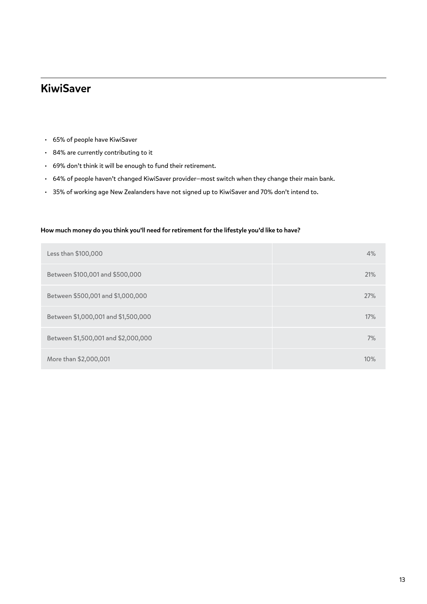# KiwiSaver

- 65% of people have KiwiSaver
- 84% are currently contributing to it
- 69% don't think it will be enough to fund their retirement.
- 64% of people haven't changed KiwiSaver provider—most switch when they change their main bank.
- 35% of working age New Zealanders have not signed up to KiwiSaver and 70% don't intend to.

#### How much money do you think you'll need for retirement for the lifestyle you'd like to have?

| Less than \$100,000                 | 4%  |
|-------------------------------------|-----|
| Between \$100,001 and \$500,000     | 21% |
| Between \$500,001 and \$1,000,000   | 27% |
| Between \$1,000,001 and \$1,500,000 | 17% |
| Between \$1,500,001 and \$2,000,000 | 7%  |
| More than \$2,000,001               | 10% |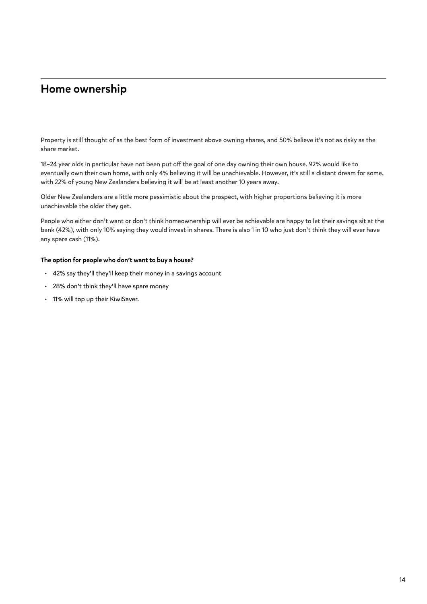# Home ownership

Property is still thought of as the best form of investment above owning shares, and 50% believe it's not as risky as the share market.

18–24 year olds in particular have not been put off the goal of one day owning their own house. 92% would like to eventually own their own home, with only 4% believing it will be unachievable. However, it's still a distant dream for some, with 22% of young New Zealanders believing it will be at least another 10 years away.

Older New Zealanders are a little more pessimistic about the prospect, with higher proportions believing it is more unachievable the older they get.

People who either don't want or don't think homeownership will ever be achievable are happy to let their savings sit at the bank (42%), with only 10% saying they would invest in shares. There is also 1 in 10 who just don't think they will ever have any spare cash (11%).

#### The option for people who don't want to buy a house?

- 42% say they'll they'll keep their money in a savings account
- 28% don't think they'll have spare money
- 11% will top up their KiwiSaver.